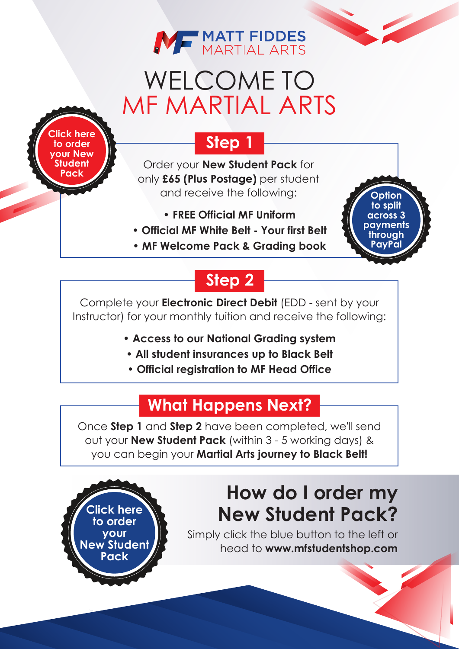

# WELCOME TO MF MARTIAL ARTS

**[Click here](https://mfstudentshop.com/mf-martial-arts---new-student-pack-31590-p.asp) to order your New Student Pack**

> **Click here to order your [New Student](https://mfstudentshop.com/mf-martial-arts---new-student-pack-31590-p.asp) Pack**

#### **Step 1**

Order your **New Student Pack** for only **£65 (Plus Postage)** per student and receive the following:

- **FREE Official MF Uniform**
- **Official MF White Belt Your first Belt**
- **MF Welcome Pack & Grading book**

### **Step 2**

Complete your **Electronic Direct Debit** (EDD - sent by your Instructor) for your monthly tuition and receive the following:

- **Access to our National Grading system**
- **All student insurances up to Black Belt**
- **Official registration to MF Head Office**

#### **What Happens Next?**

Once **Step 1** and **Step 2** have been completed, we'll send out your **New Student Pack** (within 3 - 5 working days) & you can begin your **Martial Arts journey to Black Belt!**

### **How do I order my New Student Pack?**

**Option to split across 3 payments through PayPal**

Simply click the blue button to the left or head to **www.[mfstudentshop.com](https://mfstudentshop.com/mf-martial-arts---new-student-pack-31590-p.asp)**